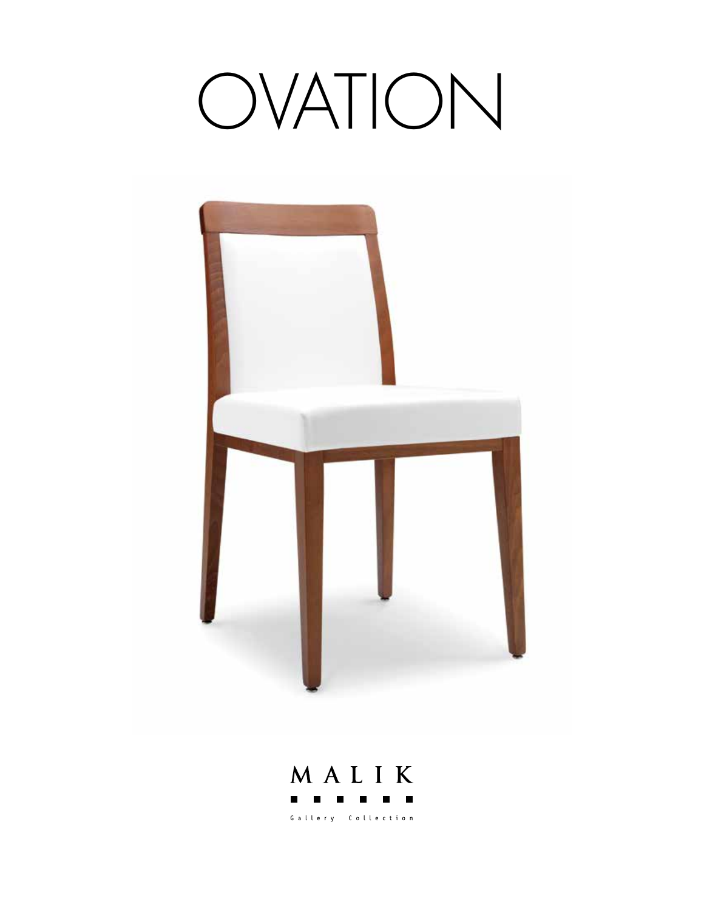# OVATION



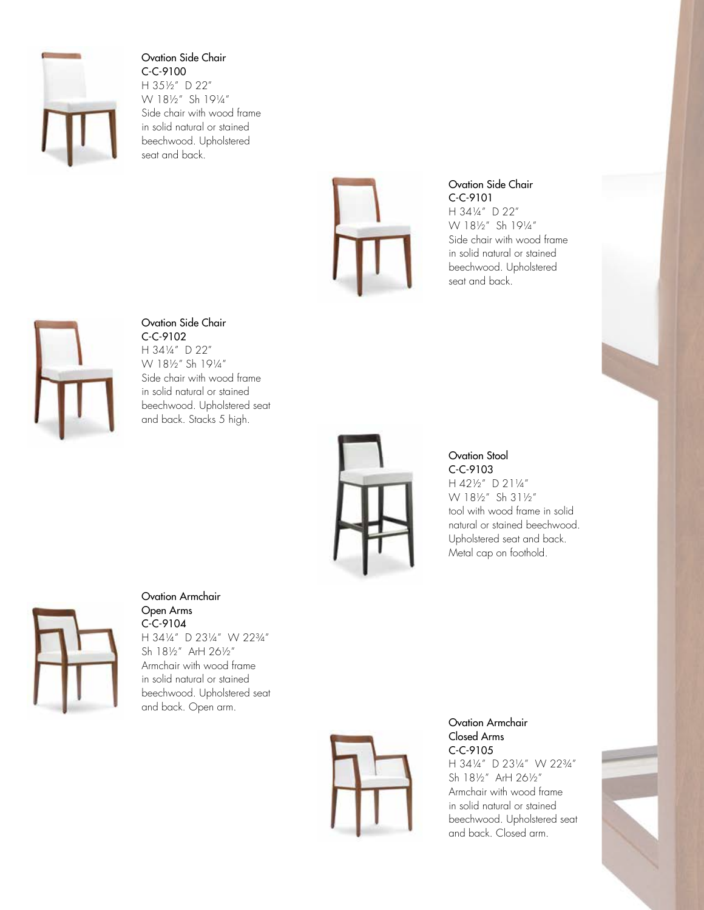

Ovation Side Chair C-C-9100 H 35½" D 22" W 18½" Sh 19¼" Side chair with wood frame in solid natural or stained beechwood. Upholstered seat and back.



Ovation Side Chair C-C-9101 H 34¼" D 22" W 18½" Sh 19¼" Side chair with wood frame in solid natural or stained beechwood. Upholstered seat and back.



### Ovation Side Chair

C-C-9102 H 34¼" D 22" W 18½" Sh 19¼" Side chair with wood frame in solid natural or stained beechwood. Upholstered seat and back. Stacks 5 high.



#### Ovation Stool C-C-9103

H 42½" D 21¼" W 18½" Sh 31½" tool with wood frame in solid natural or stained beechwood. Upholstered seat and back. Metal cap on foothold.



Ovation Armchair Open Arms C-C-9104 H 34¼" D 23¼" W 22¾" Sh 18½" ArH 26½" Armchair with wood frame in solid natural or stained beechwood. Upholstered seat and back. Open arm.



#### Ovation Armchair Closed Arms C-C-9105

H 34¼" D 23¼" W 22¾" Sh 18½" ArH 26½" Armchair with wood frame in solid natural or stained beechwood. Upholstered seat and back. Closed arm.

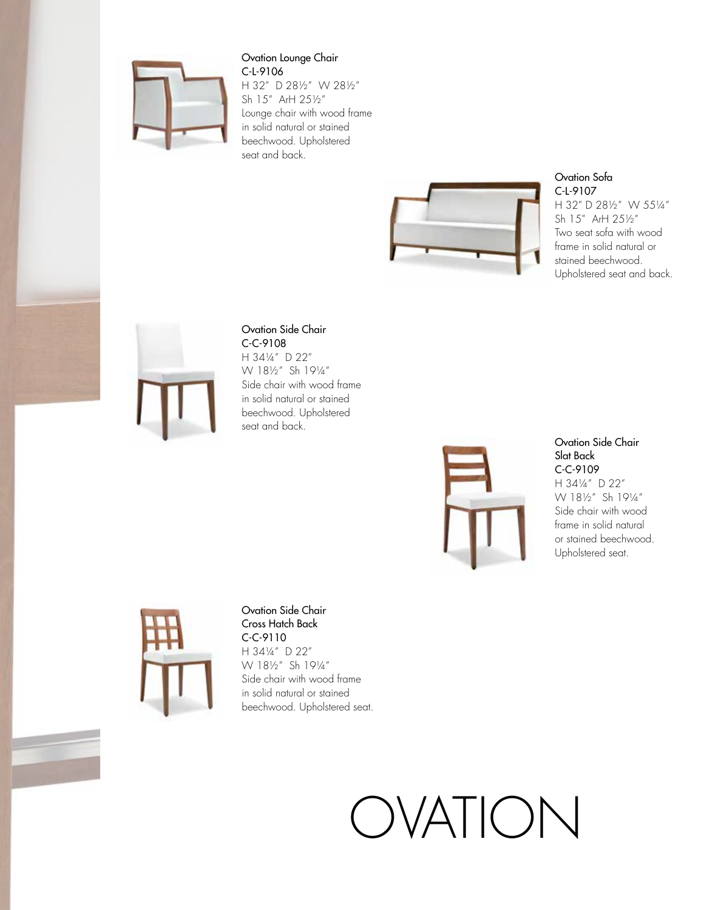

#### Ovation Lounge Chair C-L-9106

H 32" D 28½" W 28½" Sh 15" ArH 25½" Lounge chair with wood frame in solid natural or stained beechwood. Upholstered seat and back.



Ovation Sofa C-L-9107

H 32" D 28½" W 55¼" Sh 15" ArH 25½" Two seat sofa with wood frame in solid natural or stained beechwood. Upholstered seat and back.



#### Ovation Side Chair C-C-9108

H 34¼" D 22" W 18½" Sh 19¼" Side chair with wood frame in solid natural or stained beechwood. Upholstered seat and back.



Ovation Side Chair Slat Back C-C-9109 H 34¼" D 22" W 18½" Sh 19¼" Side chair with wood frame in solid natural or stained beechwood. Upholstered seat.



Ovation Side Chair Cross Hatch Back C-C-9110 H 34¼" D 22" W 18½" Sh 19¼" Side chair with wood frame in solid natural or stained beechwood. Upholstered seat.

## OVATION